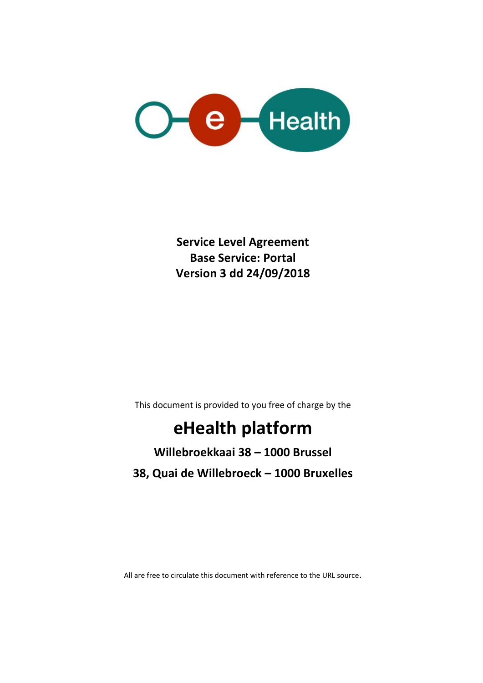

**Service Level Agreement Base Service: Portal Version 3 dd 24/09/2018**

This document is provided to you free of charge by the

# **eHealth platform**

## **Willebroekkaai 38 – 1000 Brussel 38, Quai de Willebroeck – 1000 Bruxelles**

All are free to circulate this document with reference to the URL source.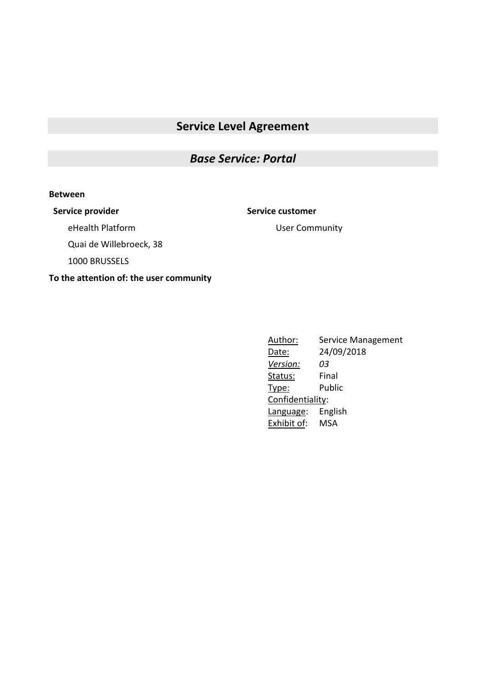### **Service Level Agreement**

#### *Base Service: Portal*

#### **Between**

**Service provider Service customer**

User Community

eHealth Platform

Quai de Willebroeck, 38

1000 BRUSSELS

#### **To the attention of: the user community**

Author: Service Management Date: 24/09/2018 *Version: 03* Status: Final Type: Public Confidentiality: Language: English Exhibit of: MSA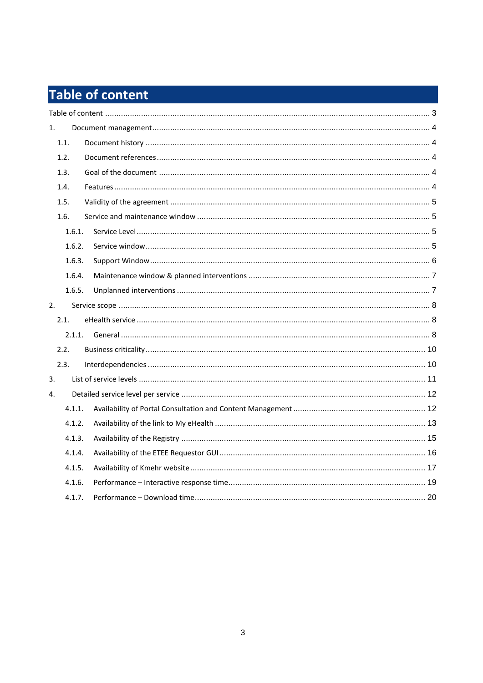# **Table of content**

| 1. |        |  |
|----|--------|--|
|    | 1.1.   |  |
|    | 1.2.   |  |
|    | 1.3.   |  |
|    | 1.4.   |  |
|    | 1.5.   |  |
|    | 1.6.   |  |
|    | 1.6.1. |  |
|    | 1.6.2. |  |
|    | 1.6.3. |  |
|    | 1.6.4. |  |
|    | 1.6.5. |  |
| 2. |        |  |
|    | 2.1.   |  |
|    | 2.1.1. |  |
|    | 2.2.   |  |
|    | 2.3.   |  |
| 3. |        |  |
| 4. |        |  |
|    | 4.1.1. |  |
|    | 4.1.2. |  |
|    | 4.1.3. |  |
|    | 4.1.4. |  |
|    | 4.1.5. |  |
|    | 4.1.6. |  |
|    | 4.1.7. |  |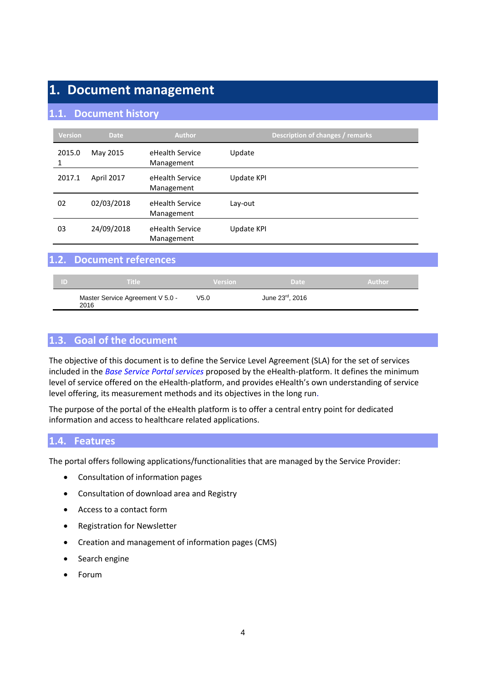### **1. Document management**

#### **1.1. Document history**

| <b>Version</b> | <b>Date</b>       | <b>Author</b>                 | Description of changes / remarks |
|----------------|-------------------|-------------------------------|----------------------------------|
| 2015.0         | May 2015          | eHealth Service<br>Management | Update                           |
| 2017.1         | <b>April 2017</b> | eHealth Service<br>Management | Update KPI                       |
| 02             | 02/03/2018        | eHealth Service<br>Management | Lay-out                          |
| 03             | 24/09/2018        | eHealth Service<br>Management | Update KPI                       |

#### **1.2. Document references**

| - ID | <b>Title</b>                             | <b>Version</b> | Date            | Author |
|------|------------------------------------------|----------------|-----------------|--------|
|      | Master Service Agreement V 5.0 -<br>2016 | V5.0           | June 23rd, 2016 |        |

#### **1.3. Goal of the document**

The objective of this document is to define the Service Level Agreement (SLA) for the set of services included in the *Base Service Portal services* proposed by the eHealth-platform. It defines the minimum level of service offered on the eHealth-platform, and provides eHealth's own understanding of service level offering, its measurement methods and its objectives in the long run.

The purpose of the portal of the eHealth platform is to offer a central entry point for dedicated information and access to healthcare related applications.

#### **1.4. Features**

The portal offers following applications/functionalities that are managed by the Service Provider:

- Consultation of information pages
- Consultation of download area and Registry
- Access to a contact form
- Registration for Newsletter
- Creation and management of information pages (CMS)
- Search engine
- Forum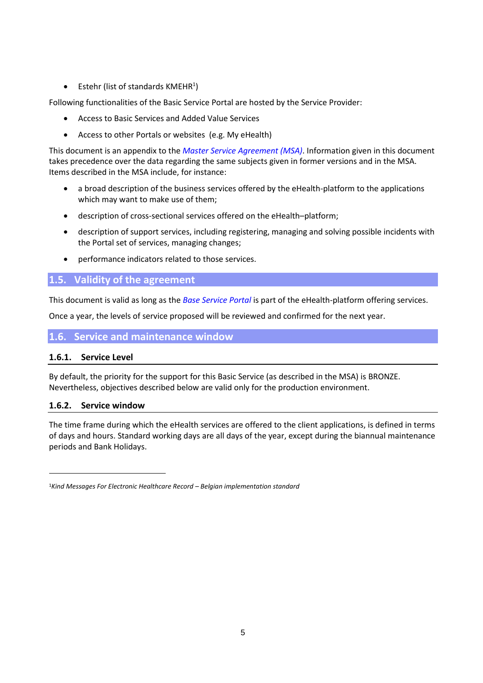• Estehr (list of standards KMEHR<sup>1</sup>)

Following functionalities of the Basic Service Portal are hosted by the Service Provider:

- Access to Basic Services and Added Value Services
- Access to other Portals or websites (e.g. My eHealth)

This document is an appendix to the *Master Service Agreement (MSA)*. Information given in this document takes precedence over the data regarding the same subjects given in former versions and in the MSA. Items described in the MSA include, for instance:

- a broad description of the business services offered by the eHealth-platform to the applications which may want to make use of them;
- description of cross-sectional services offered on the eHealth–platform;
- description of support services, including registering, managing and solving possible incidents with the Portal set of services, managing changes;
- performance indicators related to those services.

#### **1.5. Validity of the agreement**

This document is valid as long as the *Base Service Portal* is part of the eHealth-platform offering services.

Once a year, the levels of service proposed will be reviewed and confirmed for the next year.

#### **1.6. Service and maintenance window**

#### **1.6.1. Service Level**

By default, the priority for the support for this Basic Service (as described in the MSA) is BRONZE. Nevertheless, objectives described below are valid only for the production environment.

#### **1.6.2. Service window**

1

The time frame during which the eHealth services are offered to the client applications, is defined in terms of days and hours. Standard working days are all days of the year, except during the biannual maintenance periods and Bank Holidays.

<sup>1</sup>*Kind Messages For Electronic Healthcare Record – Belgian implementation standard*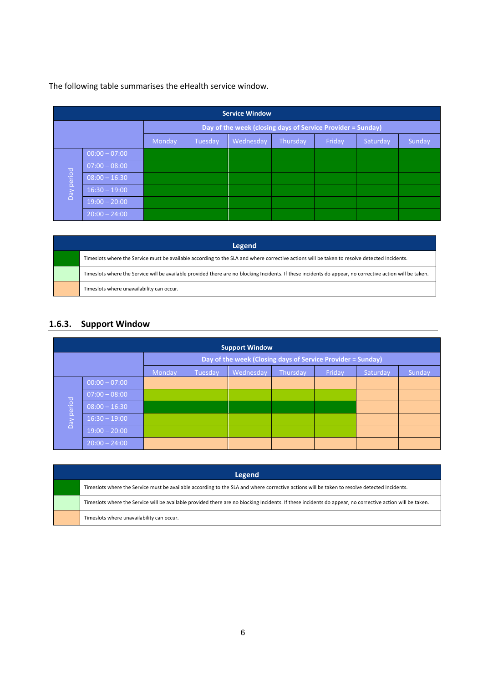The following table summarises the eHealth service window.

| <b>Service Window</b>                                       |                 |        |         |           |          |        |          |        |
|-------------------------------------------------------------|-----------------|--------|---------|-----------|----------|--------|----------|--------|
| Day of the week (closing days of Service Provider = Sunday) |                 |        |         |           |          |        |          |        |
|                                                             |                 | Monday | Tuesday | Wednesday | Thursday | Friday | Saturday | Sunday |
|                                                             | $00:00 - 07:00$ |        |         |           |          |        |          |        |
|                                                             | $07:00 - 08:00$ |        |         |           |          |        |          |        |
| period                                                      | $08:00 - 16:30$ |        |         |           |          |        |          |        |
| $\overline{Da}$                                             | $16:30 - 19:00$ |        |         |           |          |        |          |        |
|                                                             | $19:00 - 20:00$ |        |         |           |          |        |          |        |
|                                                             | $20:00 - 24:00$ |        |         |           |          |        |          |        |

| Legend                                                                                                                                                    |  |  |  |  |  |  |
|-----------------------------------------------------------------------------------------------------------------------------------------------------------|--|--|--|--|--|--|
| Timeslots where the Service must be available according to the SLA and where corrective actions will be taken to resolve detected Incidents.              |  |  |  |  |  |  |
| Timeslots where the Service will be available provided there are no blocking Incidents. If these incidents do appear, no corrective action will be taken. |  |  |  |  |  |  |
| Timeslots where unavailability can occur.                                                                                                                 |  |  |  |  |  |  |

#### **1.6.3. Support Window**

| <b>Support Window</b> |                                                             |        |         |           |          |        |          |        |
|-----------------------|-------------------------------------------------------------|--------|---------|-----------|----------|--------|----------|--------|
|                       | Day of the week (Closing days of Service Provider = Sunday) |        |         |           |          |        |          |        |
|                       |                                                             | Monday | Tuesday | Wednesday | Thursday | Friday | Saturday | Sunday |
|                       | $00:00 - 07:00$                                             |        |         |           |          |        |          |        |
|                       | $07:00 - 08:00$                                             |        |         |           |          |        |          |        |
|                       | $08:00 - 16:30$                                             |        |         |           |          |        |          |        |
| Day period            | $16:30 - 19:00$                                             |        |         |           |          |        |          |        |
|                       | $19:00 - 20:00$                                             |        |         |           |          |        |          |        |
|                       | $20:00 - 24:00$                                             |        |         |           |          |        |          |        |

| Legend                                                                                                                                                    |  |  |  |  |  |
|-----------------------------------------------------------------------------------------------------------------------------------------------------------|--|--|--|--|--|
| Timeslots where the Service must be available according to the SLA and where corrective actions will be taken to resolve detected Incidents.              |  |  |  |  |  |
| Timeslots where the Service will be available provided there are no blocking Incidents. If these incidents do appear, no corrective action will be taken. |  |  |  |  |  |
| Timeslots where unavailability can occur.                                                                                                                 |  |  |  |  |  |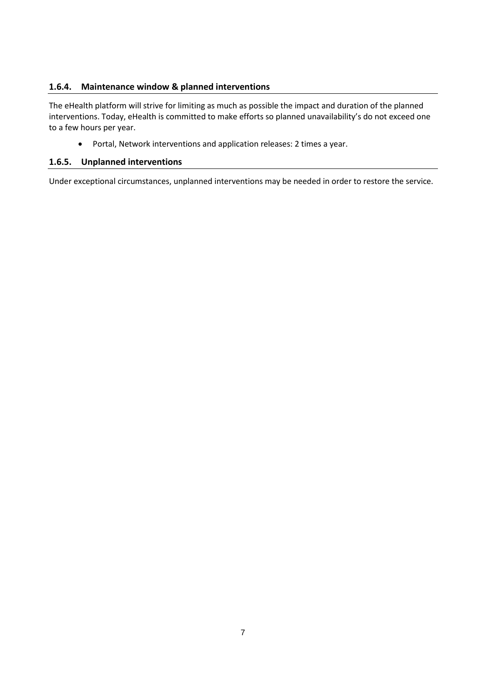#### **1.6.4. Maintenance window & planned interventions**

The eHealth platform will strive for limiting as much as possible the impact and duration of the planned interventions. Today, eHealth is committed to make efforts so planned unavailability's do not exceed one to a few hours per year.

Portal, Network interventions and application releases: 2 times a year.

#### **1.6.5. Unplanned interventions**

Under exceptional circumstances, unplanned interventions may be needed in order to restore the service.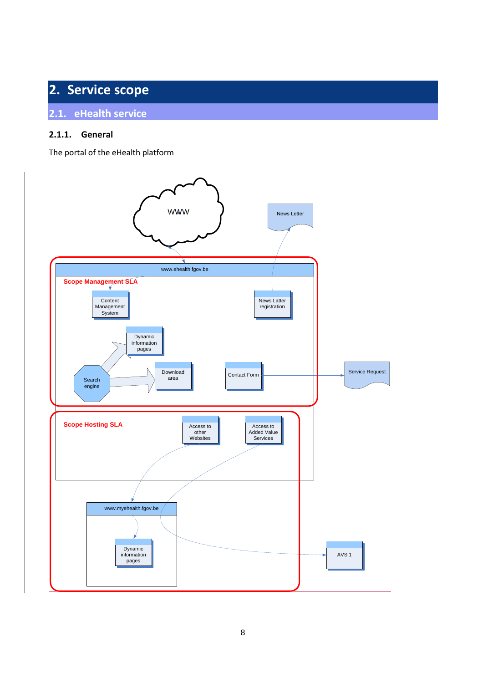## **2. Service scope**

#### **2.1. eHealth service**

#### **2.1.1. General**

The portal of the eHealth platform

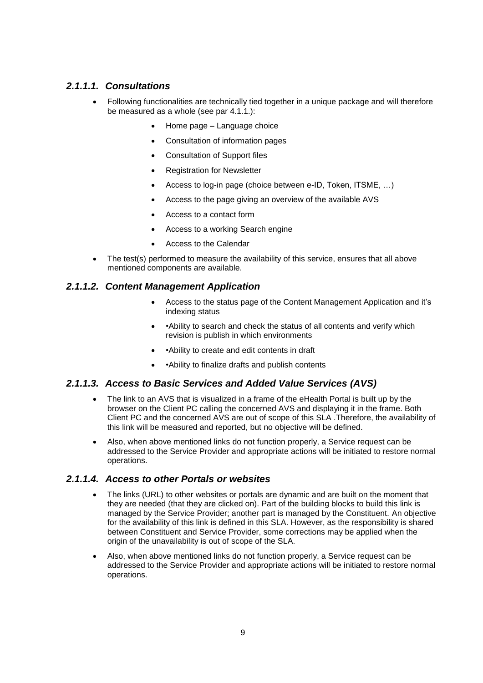#### *2.1.1.1. Consultations*

- Following functionalities are technically tied together in a unique package and will therefore be measured as a whole (see par [4.1.1.](#page-11-0)):
	- Home page Language choice
	- Consultation of information pages
	- Consultation of Support files
	- Registration for Newsletter
	- Access to log-in page (choice between e-ID, Token, ITSME, …)
	- Access to the page giving an overview of the available AVS
	- Access to a contact form
	- Access to a working Search engine
	- Access to the Calendar
- The test(s) performed to measure the availability of this service, ensures that all above mentioned components are available.

#### *2.1.1.2. Content Management Application*

- Access to the status page of the Content Management Application and it's indexing status
- •Ability to search and check the status of all contents and verify which revision is publish in which environments
- •Ability to create and edit contents in draft
- • Ability to finalize drafts and publish contents

#### *2.1.1.3. Access to Basic Services and Added Value Services (AVS)*

- The link to an AVS that is visualized in a frame of the eHealth Portal is built up by the browser on the Client PC calling the concerned AVS and displaying it in the frame. Both Client PC and the concerned AVS are out of scope of this SLA .Therefore, the availability of this link will be measured and reported, but no objective will be defined.
- Also, when above mentioned links do not function properly, a Service request can be addressed to the Service Provider and appropriate actions will be initiated to restore normal operations.

#### *2.1.1.4. Access to other Portals or websites*

- The links (URL) to other websites or portals are dynamic and are built on the moment that they are needed (that they are clicked on). Part of the building blocks to build this link is managed by the Service Provider; another part is managed by the Constituent. An objective for the availability of this link is defined in this SLA. However, as the responsibility is shared between Constituent and Service Provider, some corrections may be applied when the origin of the unavailability is out of scope of the SLA.
- Also, when above mentioned links do not function properly, a Service request can be addressed to the Service Provider and appropriate actions will be initiated to restore normal operations.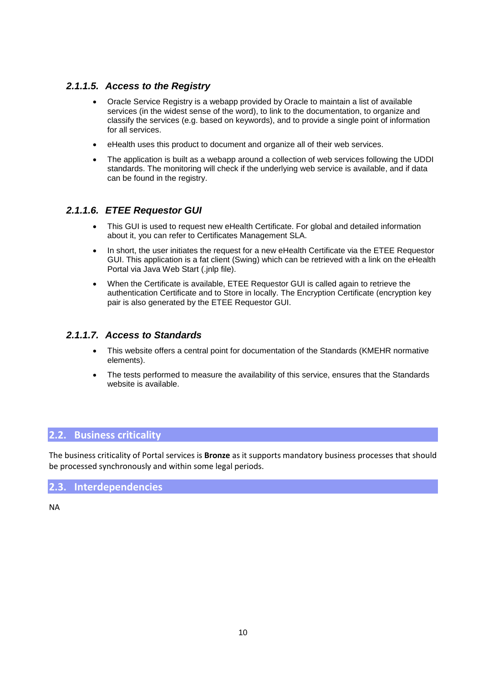#### *2.1.1.5. Access to the Registry*

- Oracle Service Registry is a webapp provided by Oracle to maintain a list of available services (in the widest sense of the word), to link to the documentation, to organize and classify the services (e.g. based on keywords), and to provide a single point of information for all services.
- eHealth uses this product to document and organize all of their web services.
- The application is built as a webapp around a collection of web services following the UDDI standards. The monitoring will check if the underlying web service is available, and if data can be found in the registry.

#### *2.1.1.6. ETEE Requestor GUI*

- This GUI is used to request new eHealth Certificate. For global and detailed information about it, you can refer to Certificates Management SLA.
- In short, the user initiates the request for a new eHealth Certificate via the ETEE Requestor GUI. This application is a fat client (Swing) which can be retrieved with a link on the eHealth Portal via Java Web Start (.jnlp file).
- When the Certificate is available, ETEE Requestor GUI is called again to retrieve the authentication Certificate and to Store in locally. The Encryption Certificate (encryption key pair is also generated by the ETEE Requestor GUI.

#### *2.1.1.7. Access to Standards*

- This website offers a central point for documentation of the Standards (KMEHR normative elements).
- The tests performed to measure the availability of this service, ensures that the Standards website is available.

#### **2.2. Business criticality**

The business criticality of Portal services is **Bronze** as it supports mandatory business processes that should be processed synchronously and within some legal periods.

#### **2.3. Interdependencies**

NA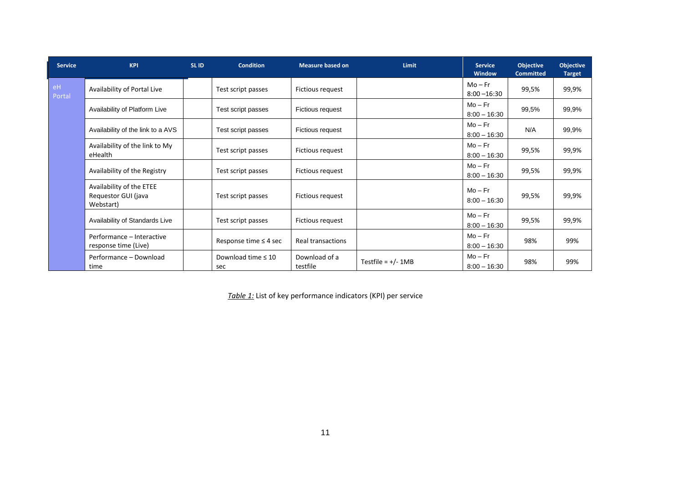| <b>Service</b> | <b>KPI</b>                                                   | SL ID | <b>Condition</b>               | <b>Measure based on</b>   | Limit                | <b>Service</b><br>Window  | <b>Objective</b><br><b>Committed</b> | <b>Objective</b><br><b>Target</b> |
|----------------|--------------------------------------------------------------|-------|--------------------------------|---------------------------|----------------------|---------------------------|--------------------------------------|-----------------------------------|
| eH<br>Portal   | Availability of Portal Live                                  |       | Test script passes             | Fictious request          |                      | $Mo-Fr$<br>$8:00 - 16:30$ | 99,5%                                | 99,9%                             |
|                | Availability of Platform Live                                |       | Test script passes             | Fictious request          |                      | $Mo-Fr$<br>$8:00 - 16:30$ | 99,5%                                | 99,9%                             |
|                | Availability of the link to a AVS                            |       | Test script passes             | Fictious request          |                      | $Mo-Fr$<br>$8:00 - 16:30$ | N/A                                  | 99,9%                             |
|                | Availability of the link to My<br>eHealth                    |       | Test script passes             | Fictious request          |                      | $Mo-Fr$<br>$8:00 - 16:30$ | 99,5%                                | 99,9%                             |
|                | Availability of the Registry                                 |       | Test script passes             | Fictious request          |                      | $Mo-Fr$<br>$8:00 - 16:30$ | 99,5%                                | 99,9%                             |
|                | Availability of the ETEE<br>Requestor GUI (java<br>Webstart) |       | Test script passes             | Fictious request          |                      | $Mo-Fr$<br>$8:00 - 16:30$ | 99,5%                                | 99,9%                             |
|                | Availability of Standards Live                               |       | Test script passes             | Fictious request          |                      | $Mo-Fr$<br>$8:00 - 16:30$ | 99,5%                                | 99,9%                             |
|                | Performance - Interactive<br>response time (Live)            |       | Response time $\leq$ 4 sec     | Real transactions         |                      | $Mo-Fr$<br>$8:00 - 16:30$ | 98%                                  | 99%                               |
|                | Performance - Download<br>time                               |       | Download time $\leq 10$<br>sec | Download of a<br>testfile | Testfile = $+/- 1MB$ | $Mo-Fr$<br>$8:00 - 16:30$ | 98%                                  | 99%                               |

*Table 1:* List of key performance indicators (KPI) per service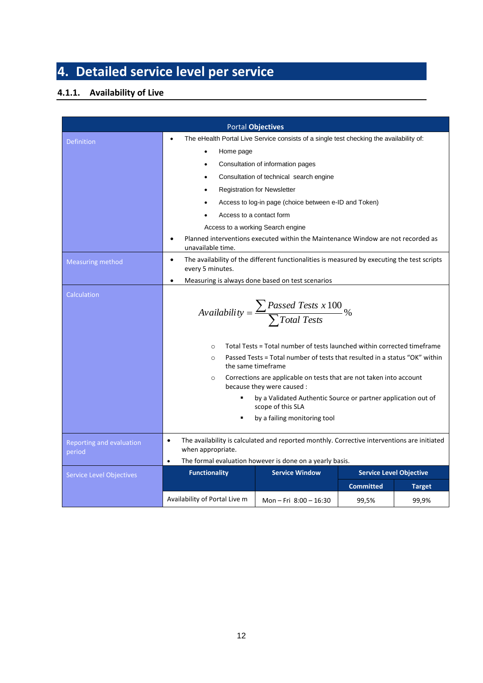## **4. Detailed service level per service**

#### <span id="page-11-0"></span>**4.1.1. Availability of Live**

|                                    |                                                                                                                              | <b>Portal Objectives</b>                                                                          |                  |                                |  |  |  |
|------------------------------------|------------------------------------------------------------------------------------------------------------------------------|---------------------------------------------------------------------------------------------------|------------------|--------------------------------|--|--|--|
| <b>Definition</b>                  | $\bullet$                                                                                                                    | The eHealth Portal Live Service consists of a single test checking the availability of:           |                  |                                |  |  |  |
|                                    | Home page                                                                                                                    |                                                                                                   |                  |                                |  |  |  |
|                                    |                                                                                                                              | Consultation of information pages                                                                 |                  |                                |  |  |  |
|                                    |                                                                                                                              | Consultation of technical search engine                                                           |                  |                                |  |  |  |
|                                    | $\bullet$                                                                                                                    | <b>Registration for Newsletter</b>                                                                |                  |                                |  |  |  |
|                                    |                                                                                                                              | Access to log-in page (choice between e-ID and Token)                                             |                  |                                |  |  |  |
|                                    | Access to a contact form                                                                                                     |                                                                                                   |                  |                                |  |  |  |
|                                    | Access to a working Search engine                                                                                            |                                                                                                   |                  |                                |  |  |  |
|                                    | Planned interventions executed within the Maintenance Window are not recorded as<br>$\bullet$<br>unavailable time.           |                                                                                                   |                  |                                |  |  |  |
| <b>Measuring method</b>            | The availability of the different functionalities is measured by executing the test scripts<br>$\bullet$<br>every 5 minutes. |                                                                                                   |                  |                                |  |  |  |
|                                    | $\bullet$                                                                                                                    | Measuring is always done based on test scenarios                                                  |                  |                                |  |  |  |
| Calculation                        | $\textit{Availableility} = \frac{\sum \textit{Passed Tests x 100}}{\sum \textit{Total Tests}}\%$                             |                                                                                                   |                  |                                |  |  |  |
|                                    | $\circ$                                                                                                                      | Total Tests = Total number of tests launched within corrected timeframe                           |                  |                                |  |  |  |
|                                    | $\circ$                                                                                                                      | Passed Tests = Total number of tests that resulted in a status "OK" within<br>the same timeframe  |                  |                                |  |  |  |
|                                    | $\circ$                                                                                                                      | Corrections are applicable on tests that are not taken into account<br>because they were caused : |                  |                                |  |  |  |
|                                    |                                                                                                                              | by a Validated Authentic Source or partner application out of<br>scope of this SLA                |                  |                                |  |  |  |
|                                    |                                                                                                                              | by a failing monitoring tool                                                                      |                  |                                |  |  |  |
| Reporting and evaluation<br>period | $\bullet$<br>when appropriate.                                                                                               | The availability is calculated and reported monthly. Corrective interventions are initiated       |                  |                                |  |  |  |
|                                    | $\bullet$                                                                                                                    | The formal evaluation however is done on a yearly basis.                                          |                  |                                |  |  |  |
| <b>Service Level Objectives</b>    | <b>Functionality</b>                                                                                                         | <b>Service Window</b>                                                                             |                  | <b>Service Level Objective</b> |  |  |  |
|                                    |                                                                                                                              |                                                                                                   | <b>Committed</b> | <b>Target</b>                  |  |  |  |
|                                    | Availability of Portal Live m                                                                                                | Mon - Fri $8:00 - 16:30$                                                                          | 99,5%            | 99,9%                          |  |  |  |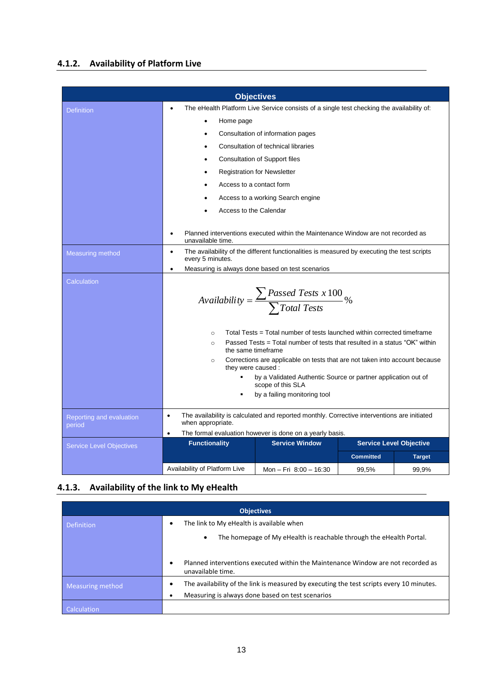#### **4.1.2. Availability of Platform Live**

| <b>Objectives</b>                  |                                                                                                                              |                                                                                                                                                       |                           |                                |  |  |  |
|------------------------------------|------------------------------------------------------------------------------------------------------------------------------|-------------------------------------------------------------------------------------------------------------------------------------------------------|---------------------------|--------------------------------|--|--|--|
| <b>Definition</b>                  | $\bullet$                                                                                                                    | The eHealth Platform Live Service consists of a single test checking the availability of:                                                             |                           |                                |  |  |  |
|                                    | Home page                                                                                                                    |                                                                                                                                                       |                           |                                |  |  |  |
|                                    |                                                                                                                              | Consultation of information pages                                                                                                                     |                           |                                |  |  |  |
|                                    |                                                                                                                              | Consultation of technical libraries                                                                                                                   |                           |                                |  |  |  |
|                                    | $\bullet$                                                                                                                    | <b>Consultation of Support files</b>                                                                                                                  |                           |                                |  |  |  |
|                                    |                                                                                                                              | <b>Registration for Newsletter</b>                                                                                                                    |                           |                                |  |  |  |
|                                    | Access to a contact form                                                                                                     |                                                                                                                                                       |                           |                                |  |  |  |
|                                    | Access to a working Search engine                                                                                            |                                                                                                                                                       |                           |                                |  |  |  |
|                                    | Access to the Calendar                                                                                                       |                                                                                                                                                       |                           |                                |  |  |  |
|                                    |                                                                                                                              |                                                                                                                                                       |                           |                                |  |  |  |
|                                    | Planned interventions executed within the Maintenance Window are not recorded as<br>$\bullet$<br>unavailable time.           |                                                                                                                                                       |                           |                                |  |  |  |
| <b>Measuring method</b>            | The availability of the different functionalities is measured by executing the test scripts<br>$\bullet$<br>every 5 minutes. |                                                                                                                                                       |                           |                                |  |  |  |
|                                    | $\bullet$                                                                                                                    | Measuring is always done based on test scenarios                                                                                                      |                           |                                |  |  |  |
| Calculation                        | Availability = $\frac{\sum \text{Pascal Tests x 100}}{\sum \text{Total Tests}}$ %                                            |                                                                                                                                                       |                           |                                |  |  |  |
|                                    | $\circ$<br>$\circ$<br>the same timeframe                                                                                     | Total Tests = Total number of tests launched within corrected timeframe<br>Passed Tests = Total number of tests that resulted in a status "OK" within |                           |                                |  |  |  |
|                                    | $\circ$<br>they were caused :                                                                                                | Corrections are applicable on tests that are not taken into account because                                                                           |                           |                                |  |  |  |
|                                    |                                                                                                                              | by a Validated Authentic Source or partner application out of<br>scope of this SLA                                                                    |                           |                                |  |  |  |
|                                    | by a failing monitoring tool                                                                                                 |                                                                                                                                                       |                           |                                |  |  |  |
| Reporting and evaluation<br>period | $\bullet$<br>when appropriate.                                                                                               | The availability is calculated and reported monthly. Corrective interventions are initiated                                                           |                           |                                |  |  |  |
|                                    | $\bullet$<br><b>Functionality</b>                                                                                            | The formal evaluation however is done on a yearly basis.<br><b>Service Window</b>                                                                     |                           | <b>Service Level Objective</b> |  |  |  |
|                                    |                                                                                                                              |                                                                                                                                                       |                           |                                |  |  |  |
|                                    |                                                                                                                              |                                                                                                                                                       |                           |                                |  |  |  |
| <b>Service Level Objectives</b>    | Availability of Platform Live                                                                                                | Mon - Fri 8:00 - 16:30                                                                                                                                | <b>Committed</b><br>99,5% | <b>Target</b><br>99,9%         |  |  |  |

#### **4.1.3. Availability of the link to My eHealth**

| <b>Objectives</b>                                             |                                                                                                                                              |  |  |  |  |  |  |  |
|---------------------------------------------------------------|----------------------------------------------------------------------------------------------------------------------------------------------|--|--|--|--|--|--|--|
| The link to My eHealth is available when<br><b>Definition</b> |                                                                                                                                              |  |  |  |  |  |  |  |
|                                                               | The homepage of My eHealth is reachable through the eHealth Portal.<br>$\bullet$                                                             |  |  |  |  |  |  |  |
|                                                               | Planned interventions executed within the Maintenance Window are not recorded as<br>٠<br>unavailable time.                                   |  |  |  |  |  |  |  |
| Measuring method                                              | The availability of the link is measured by executing the test scripts every 10 minutes.<br>Measuring is always done based on test scenarios |  |  |  |  |  |  |  |
| Calculation                                                   |                                                                                                                                              |  |  |  |  |  |  |  |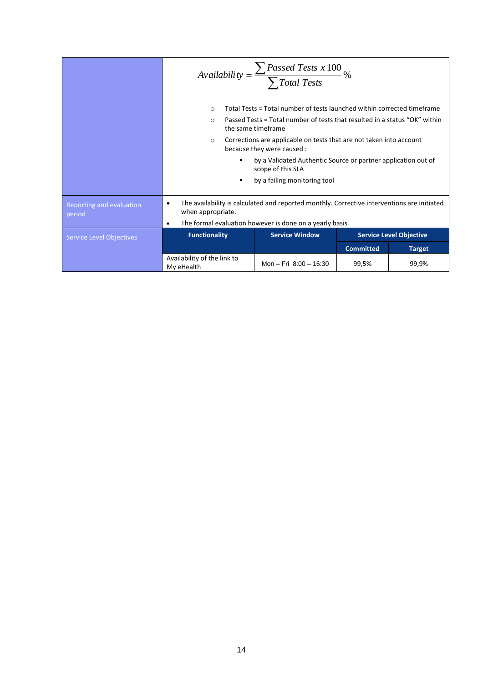|                                    | Availability = $\frac{\sum \text{Pascal Tests x 100}}{\sum \text{Total Tests}}$ %                                                                                                                 |                                                                                    |                  |                                |  |  |  |
|------------------------------------|---------------------------------------------------------------------------------------------------------------------------------------------------------------------------------------------------|------------------------------------------------------------------------------------|------------------|--------------------------------|--|--|--|
|                                    | Total Tests = Total number of tests launched within corrected timeframe<br>$\circ$<br>Passed Tests = Total number of tests that resulted in a status "OK" within<br>$\circ$<br>the same timeframe |                                                                                    |                  |                                |  |  |  |
|                                    | Corrections are applicable on tests that are not taken into account<br>$\circ$<br>because they were caused :                                                                                      |                                                                                    |                  |                                |  |  |  |
|                                    | ٠                                                                                                                                                                                                 | by a Validated Authentic Source or partner application out of<br>scope of this SLA |                  |                                |  |  |  |
|                                    | ٠                                                                                                                                                                                                 | by a failing monitoring tool                                                       |                  |                                |  |  |  |
| Reporting and evaluation<br>period | The availability is calculated and reported monthly. Corrective interventions are initiated<br>$\bullet$<br>when appropriate.<br>The formal evaluation however is done on a yearly basis.         |                                                                                    |                  |                                |  |  |  |
| <b>Service Level Objectives</b>    | $\bullet$<br><b>Functionality</b>                                                                                                                                                                 | <b>Service Window</b>                                                              |                  | <b>Service Level Objective</b> |  |  |  |
|                                    |                                                                                                                                                                                                   |                                                                                    | <b>Committed</b> | <b>Target</b>                  |  |  |  |
|                                    | Availability of the link to<br>My eHealth                                                                                                                                                         | Mon - Fri 8:00 - 16:30                                                             | 99,5%            | 99,9%                          |  |  |  |
|                                    |                                                                                                                                                                                                   |                                                                                    |                  |                                |  |  |  |
|                                    | 14                                                                                                                                                                                                |                                                                                    |                  |                                |  |  |  |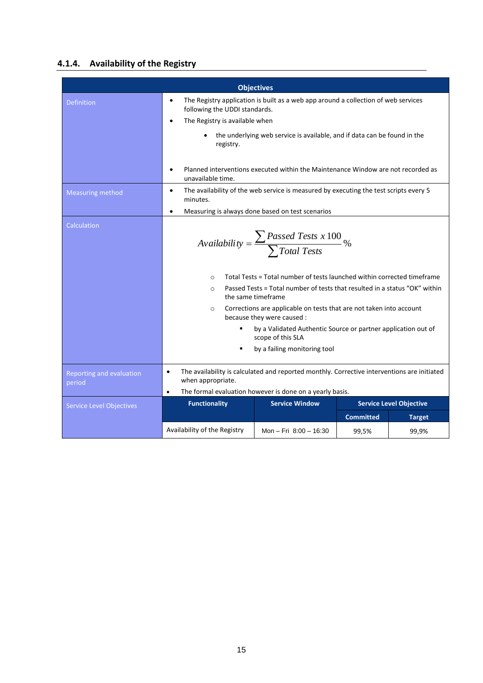#### **4.1.4. Availability of the Registry**

| <b>Objectives</b>                  |                                                                                                                                                                                                                                                                  |                                                  |                  |               |  |  |
|------------------------------------|------------------------------------------------------------------------------------------------------------------------------------------------------------------------------------------------------------------------------------------------------------------|--------------------------------------------------|------------------|---------------|--|--|
| <b>Definition</b>                  | The Registry application is built as a web app around a collection of web services<br>$\bullet$<br>following the UDDI standards.<br>The Registry is available when<br>$\bullet$                                                                                  |                                                  |                  |               |  |  |
|                                    | the underlying web service is available, and if data can be found in the<br>registry.<br>Planned interventions executed within the Maintenance Window are not recorded as                                                                                        |                                                  |                  |               |  |  |
|                                    | unavailable time.                                                                                                                                                                                                                                                |                                                  |                  |               |  |  |
| <b>Measuring method</b>            | The availability of the web service is measured by executing the test scripts every 5<br>$\bullet$<br>minutes.                                                                                                                                                   |                                                  |                  |               |  |  |
|                                    | $\bullet$                                                                                                                                                                                                                                                        | Measuring is always done based on test scenarios |                  |               |  |  |
| Calculation                        | Availability = $\frac{\sum \text{Passed Tests x 100}}{\sum \text{Total Tests}}$ %<br>Total Tests = Total number of tests launched within corrected timeframe<br>$\circ$<br>Passed Tests = Total number of tests that resulted in a status "OK" within<br>$\circ$ |                                                  |                  |               |  |  |
|                                    | the same timeframe                                                                                                                                                                                                                                               |                                                  |                  |               |  |  |
|                                    | Corrections are applicable on tests that are not taken into account<br>$\circ$<br>because they were caused :                                                                                                                                                     |                                                  |                  |               |  |  |
|                                    | by a Validated Authentic Source or partner application out of<br>scope of this SLA                                                                                                                                                                               |                                                  |                  |               |  |  |
|                                    | by a failing monitoring tool                                                                                                                                                                                                                                     |                                                  |                  |               |  |  |
| Reporting and evaluation<br>period | The availability is calculated and reported monthly. Corrective interventions are initiated<br>$\bullet$<br>when appropriate.<br>The formal evaluation however is done on a yearly basis.<br>$\bullet$                                                           |                                                  |                  |               |  |  |
| <b>Service Level Objectives</b>    | <b>Functionality</b><br><b>Service Window</b><br><b>Service Level Objective</b>                                                                                                                                                                                  |                                                  |                  |               |  |  |
|                                    |                                                                                                                                                                                                                                                                  |                                                  | <b>Committed</b> | <b>Target</b> |  |  |
|                                    | Availability of the Registry                                                                                                                                                                                                                                     | Mon - Fri $8:00 - 16:30$                         | 99,5%            | 99,9%         |  |  |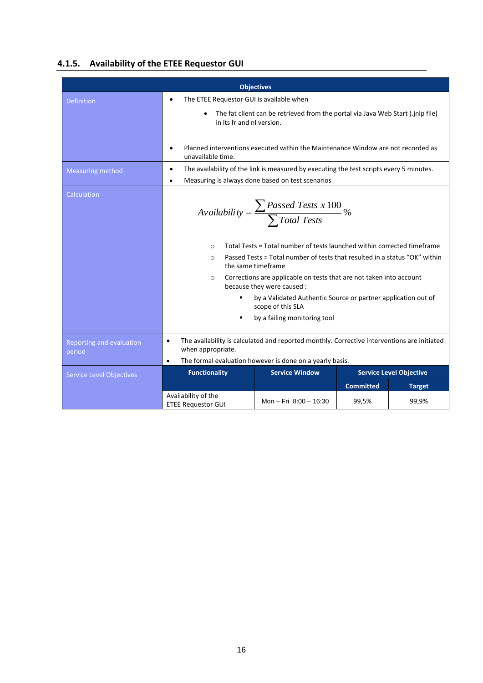#### **4.1.5. Availability of the ETEE Requestor GUI**

| <b>Objectives</b>                  |                                                                                                                                                                                                                                                                                                                                                                                                                                                                                                                               |                        |                  |               |  |
|------------------------------------|-------------------------------------------------------------------------------------------------------------------------------------------------------------------------------------------------------------------------------------------------------------------------------------------------------------------------------------------------------------------------------------------------------------------------------------------------------------------------------------------------------------------------------|------------------------|------------------|---------------|--|
| <b>Definition</b>                  | The ETEE Requestor GUI is available when<br>$\bullet$                                                                                                                                                                                                                                                                                                                                                                                                                                                                         |                        |                  |               |  |
|                                    | The fat client can be retrieved from the portal via Java Web Start (.jnlp file)<br>in its fr and nl version.                                                                                                                                                                                                                                                                                                                                                                                                                  |                        |                  |               |  |
|                                    | Planned interventions executed within the Maintenance Window are not recorded as<br>unavailable time.                                                                                                                                                                                                                                                                                                                                                                                                                         |                        |                  |               |  |
| <b>Measuring method</b>            | The availability of the link is measured by executing the test scripts every 5 minutes.<br>$\bullet$                                                                                                                                                                                                                                                                                                                                                                                                                          |                        |                  |               |  |
|                                    | Measuring is always done based on test scenarios<br>$\bullet$                                                                                                                                                                                                                                                                                                                                                                                                                                                                 |                        |                  |               |  |
| Calculation                        | Availability = $\frac{\sum \text{Passed Tests x 100}}{\sum \text{Total Tests}}$ %<br>Total Tests = Total number of tests launched within corrected timeframe<br>$\Omega$<br>Passed Tests = Total number of tests that resulted in a status "OK" within<br>$\circ$<br>the same timeframe<br>Corrections are applicable on tests that are not taken into account<br>$\circ$<br>because they were caused :<br>by a Validated Authentic Source or partner application out of<br>scope of this SLA<br>by a failing monitoring tool |                        |                  |               |  |
| Reporting and evaluation<br>period | The availability is calculated and reported monthly. Corrective interventions are initiated<br>$\bullet$<br>when appropriate.<br>$\bullet$                                                                                                                                                                                                                                                                                                                                                                                    |                        |                  |               |  |
|                                    | The formal evaluation however is done on a yearly basis.<br><b>Service Window</b><br><b>Functionality</b><br><b>Service Level Objective</b>                                                                                                                                                                                                                                                                                                                                                                                   |                        |                  |               |  |
| <b>Service Level Objectives</b>    |                                                                                                                                                                                                                                                                                                                                                                                                                                                                                                                               |                        | <b>Committed</b> | <b>Target</b> |  |
|                                    | Availability of the<br><b>ETEE Requestor GUI</b>                                                                                                                                                                                                                                                                                                                                                                                                                                                                              | Mon - Fri 8:00 - 16:30 | 99,5%            | 99,9%         |  |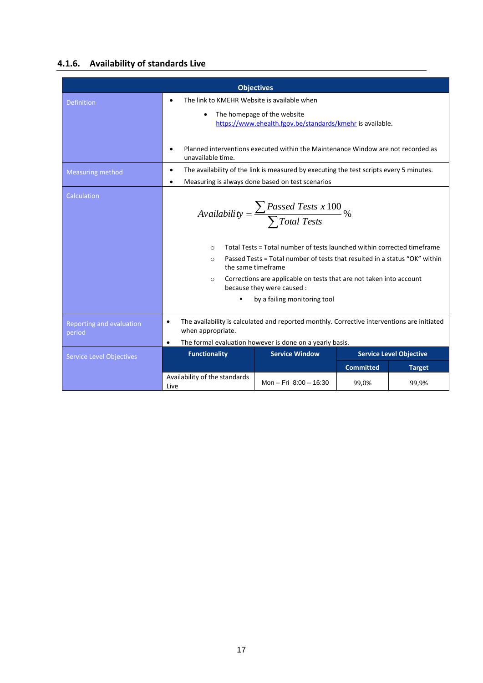#### **4.1.6. Availability of standards Live**

| <b>Objectives</b>                  |                                                                                                                                                                                                                                                                                                                                                                                                                                         |                                                  |                  |                                |  |
|------------------------------------|-----------------------------------------------------------------------------------------------------------------------------------------------------------------------------------------------------------------------------------------------------------------------------------------------------------------------------------------------------------------------------------------------------------------------------------------|--------------------------------------------------|------------------|--------------------------------|--|
| <b>Definition</b>                  | The link to KMEHR Website is available when<br>$\bullet$                                                                                                                                                                                                                                                                                                                                                                                |                                                  |                  |                                |  |
|                                    | The homepage of the website<br>$\bullet$<br>https://www.ehealth.fgov.be/standards/kmehr is available.                                                                                                                                                                                                                                                                                                                                   |                                                  |                  |                                |  |
|                                    | Planned interventions executed within the Maintenance Window are not recorded as<br>unavailable time.                                                                                                                                                                                                                                                                                                                                   |                                                  |                  |                                |  |
| <b>Measuring method</b>            | The availability of the link is measured by executing the test scripts every 5 minutes.<br>$\bullet$                                                                                                                                                                                                                                                                                                                                    |                                                  |                  |                                |  |
|                                    | ٠                                                                                                                                                                                                                                                                                                                                                                                                                                       | Measuring is always done based on test scenarios |                  |                                |  |
| Calculation                        | Availability = $\frac{\sum \text{Passed Tests x 100}}{\sum \text{Total Tests}}$ %<br>Total Tests = Total number of tests launched within corrected timeframe<br>$\circ$<br>Passed Tests = Total number of tests that resulted in a status "OK" within<br>$\Omega$<br>the same timeframe<br>Corrections are applicable on tests that are not taken into account<br>$\circ$<br>because they were caused :<br>by a failing monitoring tool |                                                  |                  |                                |  |
| Reporting and evaluation<br>period | The availability is calculated and reported monthly. Corrective interventions are initiated<br>$\bullet$<br>when appropriate.                                                                                                                                                                                                                                                                                                           |                                                  |                  |                                |  |
|                                    | The formal evaluation however is done on a yearly basis.<br>$\bullet$                                                                                                                                                                                                                                                                                                                                                                   |                                                  |                  |                                |  |
| <b>Service Level Objectives</b>    | <b>Functionality</b>                                                                                                                                                                                                                                                                                                                                                                                                                    | <b>Service Window</b>                            |                  | <b>Service Level Objective</b> |  |
|                                    |                                                                                                                                                                                                                                                                                                                                                                                                                                         |                                                  | <b>Committed</b> | <b>Target</b>                  |  |
|                                    | Availability of the standards<br>Live                                                                                                                                                                                                                                                                                                                                                                                                   | Mon - Fri $8:00 - 16:30$                         | 99,0%            | 99,9%                          |  |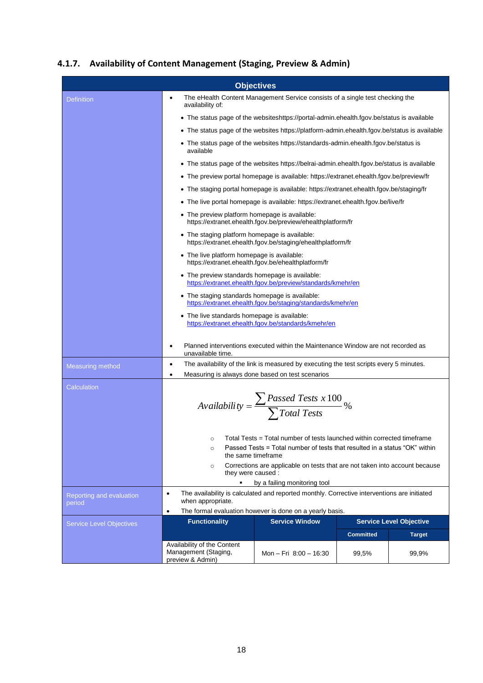#### **4.1.7. Availability of Content Management (Staging, Preview & Admin)**

| <b>Objectives</b>                  |                                                                                                                                                                                                       |                                                                                                                             |                  |                                |  |  |
|------------------------------------|-------------------------------------------------------------------------------------------------------------------------------------------------------------------------------------------------------|-----------------------------------------------------------------------------------------------------------------------------|------------------|--------------------------------|--|--|
| <b>Definition</b>                  | The eHealth Content Management Service consists of a single test checking the<br>$\bullet$<br>availability of:                                                                                        |                                                                                                                             |                  |                                |  |  |
|                                    | • The status page of the websiteshttps://portal-admin.ehealth.fgov.be/status is available                                                                                                             |                                                                                                                             |                  |                                |  |  |
|                                    | • The status page of the websites https://platform-admin.ehealth.fgov.be/status is available                                                                                                          |                                                                                                                             |                  |                                |  |  |
|                                    | • The status page of the websites https://standards-admin.ehealth.fgov.be/status is<br>available                                                                                                      |                                                                                                                             |                  |                                |  |  |
|                                    | • The status page of the websites https://belrai-admin.ehealth.fgov.be/status is available                                                                                                            |                                                                                                                             |                  |                                |  |  |
|                                    | • The preview portal homepage is available: https://extranet.ehealth.fgov.be/preview/fr                                                                                                               |                                                                                                                             |                  |                                |  |  |
|                                    | • The staging portal homepage is available: https://extranet.ehealth.fgov.be/staging/fr                                                                                                               |                                                                                                                             |                  |                                |  |  |
|                                    |                                                                                                                                                                                                       | The live portal homepage is available: https://extranet.ehealth.fgov.be/live/fr                                             |                  |                                |  |  |
|                                    | • The preview platform homepage is available:<br>https://extranet.ehealth.fgov.be/preview/ehealthplatform/fr                                                                                          |                                                                                                                             |                  |                                |  |  |
|                                    | • The staging platform homepage is available:<br>https://extranet.ehealth.fgov.be/staging/ehealthplatform/fr                                                                                          |                                                                                                                             |                  |                                |  |  |
|                                    | • The live platform homepage is available:<br>https://extranet.ehealth.fgov.be/ehealthplatform/fr                                                                                                     |                                                                                                                             |                  |                                |  |  |
|                                    | • The preview standards homepage is available:<br>https://extranet.ehealth.fgov.be/preview/standards/kmehr/en                                                                                         |                                                                                                                             |                  |                                |  |  |
|                                    | • The staging standards homepage is available:<br>https://extranet.ehealth.fgov.be/staging/standards/kmehr/en                                                                                         |                                                                                                                             |                  |                                |  |  |
|                                    | • The live standards homepage is available:<br>https://extranet.ehealth.fgov.be/standards/kmehr/en                                                                                                    |                                                                                                                             |                  |                                |  |  |
|                                    | Planned interventions executed within the Maintenance Window are not recorded as<br>$\bullet$                                                                                                         |                                                                                                                             |                  |                                |  |  |
|                                    | unavailable time.                                                                                                                                                                                     |                                                                                                                             |                  |                                |  |  |
| <b>Measuring method</b>            | The availability of the link is measured by executing the test scripts every 5 minutes.<br>$\bullet$<br>Measuring is always done based on test scenarios<br>$\bullet$                                 |                                                                                                                             |                  |                                |  |  |
| Calculation                        |                                                                                                                                                                                                       |                                                                                                                             |                  |                                |  |  |
|                                    | Availability = $\frac{\sum \text{Passed Tests x 100}}{\sum \text{Total Tests}}$ %                                                                                                                     |                                                                                                                             |                  |                                |  |  |
|                                    | Total Tests = Total number of tests launched within corrected timeframe<br>$\circ$                                                                                                                    |                                                                                                                             |                  |                                |  |  |
|                                    | Passed Tests = Total number of tests that resulted in a status "OK" within<br>$\circ$<br>the same timeframe<br>Corrections are applicable on tests that are not taken into account because<br>$\circ$ |                                                                                                                             |                  |                                |  |  |
|                                    |                                                                                                                                                                                                       |                                                                                                                             |                  |                                |  |  |
|                                    | they were caused :                                                                                                                                                                                    |                                                                                                                             |                  |                                |  |  |
|                                    | ٠<br>$\bullet$                                                                                                                                                                                        | by a failing monitoring tool<br>The availability is calculated and reported monthly. Corrective interventions are initiated |                  |                                |  |  |
| Reporting and evaluation<br>period | when appropriate.                                                                                                                                                                                     |                                                                                                                             |                  |                                |  |  |
|                                    | The formal evaluation however is done on a yearly basis.<br>$\bullet$                                                                                                                                 |                                                                                                                             |                  |                                |  |  |
| <b>Service Level Objectives</b>    |                                                                                                                                                                                                       | <b>Service Window</b><br><b>Functionality</b>                                                                               |                  | <b>Service Level Objective</b> |  |  |
|                                    |                                                                                                                                                                                                       |                                                                                                                             | <b>Committed</b> | <b>Target</b>                  |  |  |
|                                    | Availability of the Content<br>Management (Staging,<br>preview & Admin)                                                                                                                               | Mon - Fri 8:00 - 16:30                                                                                                      | 99,5%            | 99,9%                          |  |  |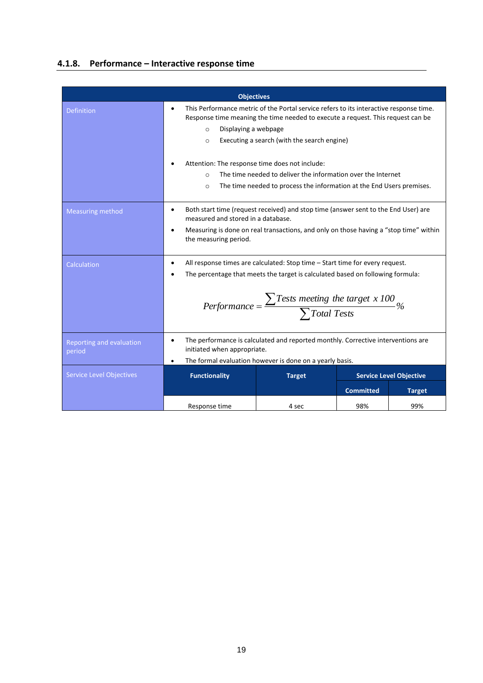#### **4.1.8. Performance – Interactive response time**

| <b>Objectives</b>                  |                                                                                                                                                                                                                                                                           |       |                  |               |  |
|------------------------------------|---------------------------------------------------------------------------------------------------------------------------------------------------------------------------------------------------------------------------------------------------------------------------|-------|------------------|---------------|--|
| <b>Definition</b>                  | This Performance metric of the Portal service refers to its interactive response time.<br>Response time meaning the time needed to execute a request. This request can be<br>Displaying a webpage<br>$\circ$<br>Executing a search (with the search engine)<br>$\Omega$   |       |                  |               |  |
|                                    | Attention: The response time does not include:<br>The time needed to deliver the information over the Internet<br>$\circ$<br>The time needed to process the information at the End Users premises.<br>$\circ$                                                             |       |                  |               |  |
| <b>Measuring method</b>            | Both start time (request received) and stop time (answer sent to the End User) are<br>$\bullet$<br>measured and stored in a database.<br>Measuring is done on real transactions, and only on those having a "stop time" within<br>the measuring period.                   |       |                  |               |  |
| Calculation                        | All response times are calculated: Stop time - Start time for every request.<br>The percentage that meets the target is calculated based on following formula:<br>Performance = $\frac{\sum Tests \text{ meeting the target } x \text{ 100}}{\sum Total \text{ Tests}}$ % |       |                  |               |  |
| Reporting and evaluation<br>period | The performance is calculated and reported monthly. Corrective interventions are<br>٠<br>initiated when appropriate.<br>The formal evaluation however is done on a yearly basis.                                                                                          |       |                  |               |  |
| <b>Service Level Objectives</b>    | <b>Functionality</b><br><b>Target</b><br><b>Service Level Objective</b>                                                                                                                                                                                                   |       |                  |               |  |
|                                    |                                                                                                                                                                                                                                                                           |       | <b>Committed</b> | <b>Target</b> |  |
|                                    | Response time                                                                                                                                                                                                                                                             | 4 sec | 98%              | 99%           |  |